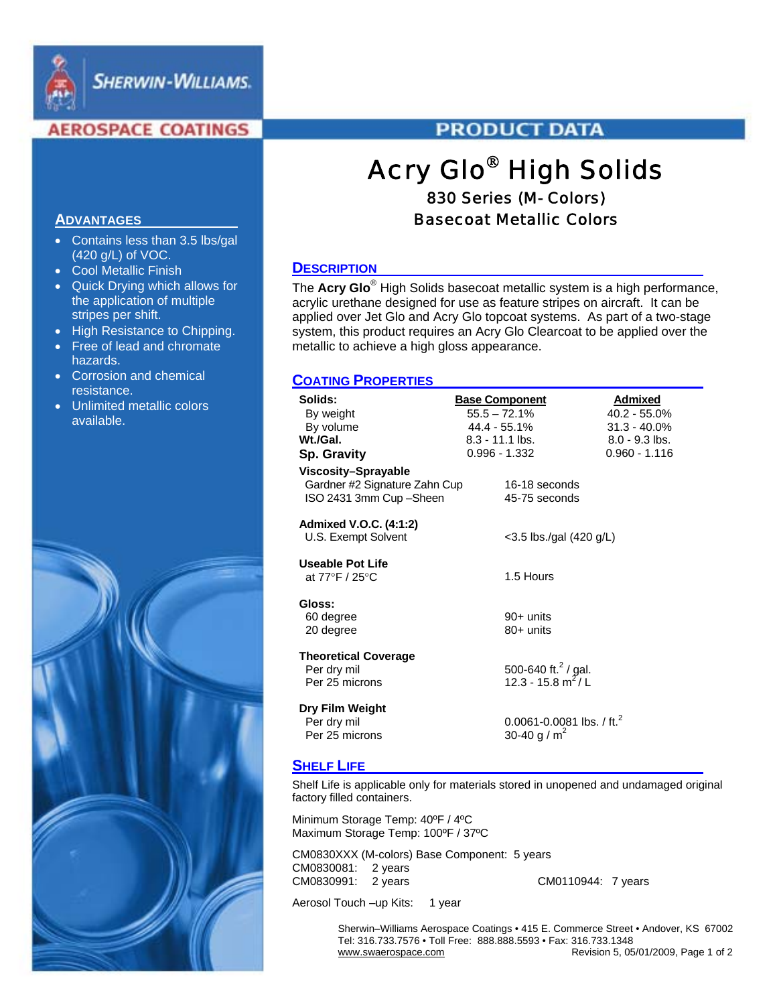

**SHERWIN-WILLIAMS.** 

# **AEROSPACE COATINGS**

# **PRODUCT DATA**

# Acry Glo® High Solids 830 Series (M- Colors)

# Basecoat Metallic Colors

# **DESCRIPTION**

The **Acry Glo**® High Solids basecoat metallic system is a high performance, acrylic urethane designed for use as feature stripes on aircraft. It can be applied over Jet Glo and Acry Glo topcoat systems. As part of a two-stage system, this product requires an Acry Glo Clearcoat to be applied over the metallic to achieve a high gloss appearance.

# **COATING PROPERTIES**

| Solids:                       | <b>Base Component</b>           | Admixed          |  |  |
|-------------------------------|---------------------------------|------------------|--|--|
| By weight                     | $55.5 - 72.1%$                  | 40.2 - 55.0%     |  |  |
| By volume                     | 44.4 - 55.1%                    | $31.3 - 40.0\%$  |  |  |
| Wt./Gal.                      | $8.3 - 11.1$ lbs.               | $8.0 - 9.3$ lbs. |  |  |
| <b>Sp. Gravity</b>            | $0.996 - 1.332$                 | $0.960 - 1.116$  |  |  |
| Viscosity-Sprayable           |                                 |                  |  |  |
| Gardner #2 Signature Zahn Cup | 16-18 seconds                   |                  |  |  |
| ISO 2431 3mm Cup - Sheen      | 45-75 seconds                   |                  |  |  |
|                               |                                 |                  |  |  |
| Admixed V.O.C. (4:1:2)        |                                 |                  |  |  |
| U.S. Exempt Solvent           | $<$ 3.5 lbs./gal (420 g/L)      |                  |  |  |
|                               |                                 |                  |  |  |
| <b>Useable Pot Life</b>       |                                 |                  |  |  |
| at 77°F / 25°C                | 1.5 Hours                       |                  |  |  |
| Gloss:                        |                                 |                  |  |  |
| 60 degree                     | 90+ units                       |                  |  |  |
| 20 degree                     | $80+$ units                     |                  |  |  |
|                               |                                 |                  |  |  |
| <b>Theoretical Coverage</b>   |                                 |                  |  |  |
| Per dry mil                   | 500-640 ft. <sup>2</sup> / gal. |                  |  |  |
| Per 25 microns                | 12.3 - 15.8 m <sup>2</sup> / L  |                  |  |  |
|                               |                                 |                  |  |  |
| Dry Film Weight               |                                 |                  |  |  |
| Per dry mil                   | 0.0061-0.0081 lbs. / ft. $^2$   |                  |  |  |
| Per 25 microns                | 30-40 g / $m2$                  |                  |  |  |

### **SHELF LIFE**

Shelf Life is applicable only for materials stored in unopened and undamaged original factory filled containers.

Minimum Storage Temp: 40ºF / 4ºC Maximum Storage Temp: 100ºF / 37ºC

CM0830XXX (M-colors) Base Component: 5 years CM0830081: 2 years CM0830991: 2 years CM0110944: 7 years

Aerosol Touch –up Kits: 1 year

 Sherwin–Williams Aerospace Coatings • 415 E. Commerce Street • Andover, KS 67002 Tel: 316.733.7576 • Toll Free: 888.888.5593 • Fax: 316.733.1348 Revision 5, 05/01/2009, Page 1 of 2

## **ADVANTAGES**

- Contains less than 3.5 lbs/gal (420 g/L) of VOC.
- Cool Metallic Finish
- Quick Drying which allows for the application of multiple stripes per shift.
- High Resistance to Chipping.
- Free of lead and chromate hazards.
- Corrosion and chemical resistance.
- Unlimited metallic colors available.

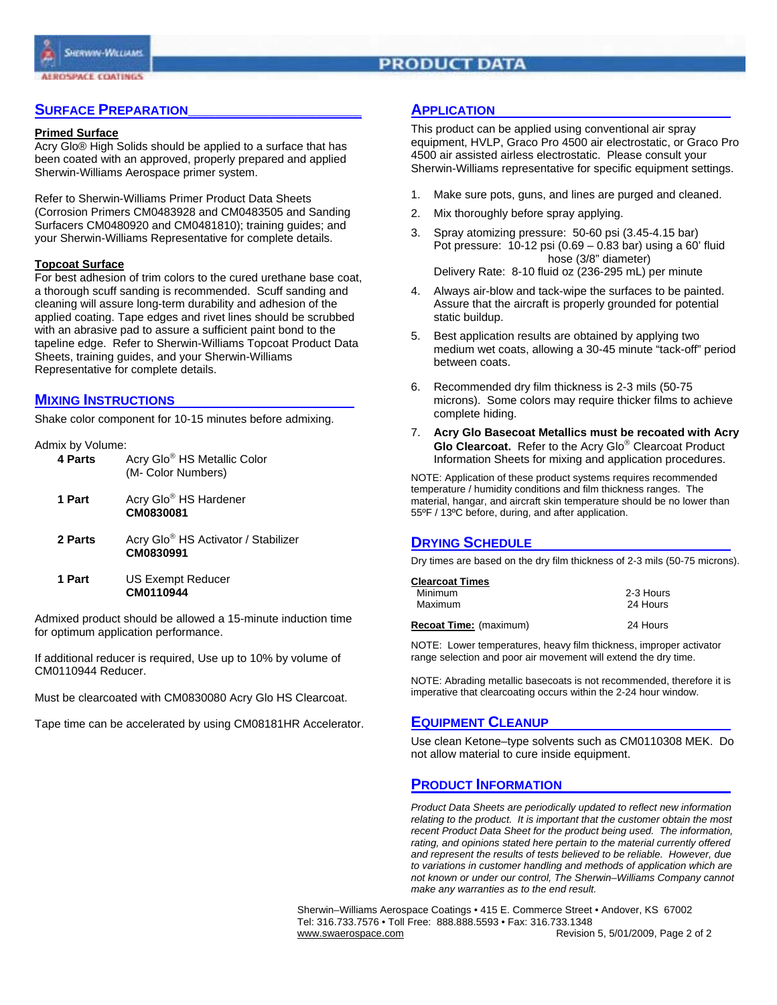# **PRODUCT DATA**

# **SURFACE PREPARATION**

#### **Primed Surface**

Acry Glo® High Solids should be applied to a surface that has been coated with an approved, properly prepared and applied Sherwin-Williams Aerospace primer system.

Refer to Sherwin-Williams Primer Product Data Sheets (Corrosion Primers CM0483928 and CM0483505 and Sanding Surfacers CM0480920 and CM0481810); training guides; and your Sherwin-Williams Representative for complete details.

#### **Topcoat Surface**

For best adhesion of trim colors to the cured urethane base coat, a thorough scuff sanding is recommended. Scuff sanding and cleaning will assure long-term durability and adhesion of the applied coating. Tape edges and rivet lines should be scrubbed with an abrasive pad to assure a sufficient paint bond to the tapeline edge. Refer to Sherwin-Williams Topcoat Product Data Sheets, training guides, and your Sherwin-Williams Representative for complete details.

## **MIXING INSTRUCTIONS**

Shake color component for 10-15 minutes before admixing.

#### Admix by Volume:

| 4 Parts | Acry Glo <sup>®</sup> HS Metallic Color<br>(M- Color Numbers) |
|---------|---------------------------------------------------------------|
| 1 Part  | Acry Glo <sup>®</sup> HS Hardener<br>CM0830081                |
| 2 Parts | Acry Glo <sup>®</sup> HS Activator / Stabilizer<br>CM0830991  |
|         |                                                               |

**1 Part** US Exempt Reducer  **CM0110944** 

Admixed product should be allowed a 15-minute induction time for optimum application performance.

If additional reducer is required, Use up to 10% by volume of CM0110944 Reducer.

Must be clearcoated with CM0830080 Acry Glo HS Clearcoat.

Tape time can be accelerated by using CM08181HR Accelerator.

# **APPLICATION**

This product can be applied using conventional air spray equipment, HVLP, Graco Pro 4500 air electrostatic, or Graco Pro 4500 air assisted airless electrostatic. Please consult your Sherwin-Williams representative for specific equipment settings.

- 1. Make sure pots, guns, and lines are purged and cleaned.
- 2. Mix thoroughly before spray applying.
- 3. Spray atomizing pressure: 50-60 psi (3.45-4.15 bar) Pot pressure: 10-12 psi (0.69 – 0.83 bar) using a 60' fluid hose (3/8" diameter) Delivery Rate: 8-10 fluid oz (236-295 mL) per minute
- 4. Always air-blow and tack-wipe the surfaces to be painted. Assure that the aircraft is properly grounded for potential static buildup.
- 5. Best application results are obtained by applying two medium wet coats, allowing a 30-45 minute "tack-off" period between coats.
- 6. Recommended dry film thickness is 2-3 mils (50-75 microns). Some colors may require thicker films to achieve complete hiding.
- 7. **Acry Glo Basecoat Metallics must be recoated with Acry Glo Clearcoat.** Refer to the Acry Glo® Clearcoat Product Information Sheets for mixing and application procedures.

NOTE: Application of these product systems requires recommended temperature / humidity conditions and film thickness ranges. The material, hangar, and aircraft skin temperature should be no lower than 55ºF / 13ºC before, during, and after application.

# **DRYING SCHEDULE**

Dry times are based on the dry film thickness of 2-3 mils (50-75 microns).

| <b>Clearcoat Times</b>        |           |
|-------------------------------|-----------|
| Minimum                       | 2-3 Hours |
| Maximum                       | 24 Hours  |
| <b>Recoat Time:</b> (maximum) | 24 Hours  |

NOTE: Lower temperatures, heavy film thickness, improper activator range selection and poor air movement will extend the dry time.

NOTE: Abrading metallic basecoats is not recommended, therefore it is imperative that clearcoating occurs within the 2-24 hour window.

# **EQUIPMENT CLEANUP**

Use clean Ketone–type solvents such as CM0110308 MEK. Do not allow material to cure inside equipment.

# **PRODUCT INFORMATION**

*Product Data Sheets are periodically updated to reflect new information relating to the product. It is important that the customer obtain the most recent Product Data Sheet for the product being used. The information, rating, and opinions stated here pertain to the material currently offered and represent the results of tests believed to be reliable. However, due to variations in customer handling and methods of application which are not known or under our control, The Sherwin–Williams Company cannot make any warranties as to the end result.* 

 Sherwin–Williams Aerospace Coatings • 415 E. Commerce Street • Andover, KS 67002 Tel: 316.733.7576 • Toll Free: 888.888.5593 • Fax: 316.733.1348 www.swaerospace.com extends the Revision 5, 5/01/2009, Page 2 of 2